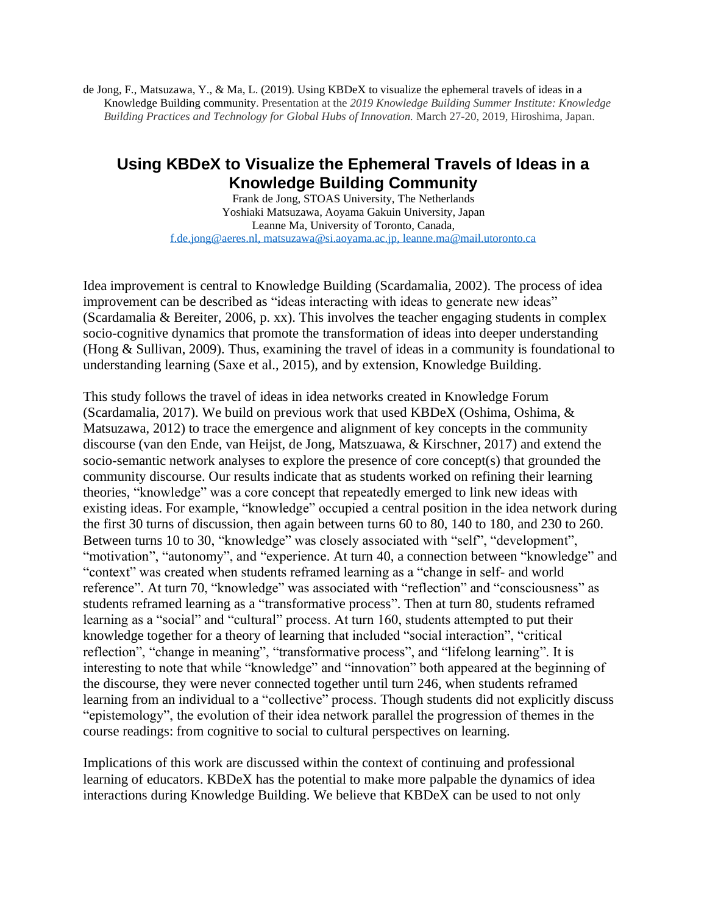de Jong, F., Matsuzawa, Y., & Ma, L. (2019). Using KBDeX to visualize the ephemeral travels of ideas in a Knowledge Building community. Presentation at the *2019 Knowledge Building Summer Institute: Knowledge Building Practices and Technology for Global Hubs of Innovation.* March 27-20, 2019, Hiroshima, Japan.

## **Using KBDeX to Visualize the Ephemeral Travels of Ideas in a Knowledge Building Community**

Frank de Jong, STOAS University, The Netherlands Yoshiaki Matsuzawa, Aoyama Gakuin University, Japan Leanne Ma, University of Toronto, Canada, [f.de.jong@aeres.nl,](mailto:f.de.jong@aeres.nl) [matsuzawa@si.aoyama.ac.jp,](mailto:matsuzawa@si.aoyama.ac.jp) [leanne.ma@mail.utoronto.ca](mailto:leanne.ma@mail.utoronto.ca)

Idea improvement is central to Knowledge Building (Scardamalia, 2002). The process of idea improvement can be described as "ideas interacting with ideas to generate new ideas" (Scardamalia & Bereiter, 2006, p. xx). This involves the teacher engaging students in complex socio-cognitive dynamics that promote the transformation of ideas into deeper understanding (Hong & Sullivan, 2009). Thus, examining the travel of ideas in a community is foundational to understanding learning (Saxe et al., 2015), and by extension, Knowledge Building.

This study follows the travel of ideas in idea networks created in Knowledge Forum (Scardamalia, 2017). We build on previous work that used KBDeX (Oshima, Oshima, & Matsuzawa, 2012) to trace the emergence and alignment of key concepts in the community discourse (van den Ende, van Heijst, de Jong, Matszuawa, & Kirschner, 2017) and extend the socio-semantic network analyses to explore the presence of core concept(s) that grounded the community discourse. Our results indicate that as students worked on refining their learning theories, "knowledge" was a core concept that repeatedly emerged to link new ideas with existing ideas. For example, "knowledge" occupied a central position in the idea network during the first 30 turns of discussion, then again between turns 60 to 80, 140 to 180, and 230 to 260. Between turns 10 to 30, "knowledge" was closely associated with "self", "development", "motivation", "autonomy", and "experience. At turn 40, a connection between "knowledge" and "context" was created when students reframed learning as a "change in self- and world reference". At turn 70, "knowledge" was associated with "reflection" and "consciousness" as students reframed learning as a "transformative process". Then at turn 80, students reframed learning as a "social" and "cultural" process. At turn 160, students attempted to put their knowledge together for a theory of learning that included "social interaction", "critical reflection", "change in meaning", "transformative process", and "lifelong learning". It is interesting to note that while "knowledge" and "innovation" both appeared at the beginning of the discourse, they were never connected together until turn 246, when students reframed learning from an individual to a "collective" process. Though students did not explicitly discuss "epistemology", the evolution of their idea network parallel the progression of themes in the course readings: from cognitive to social to cultural perspectives on learning.

Implications of this work are discussed within the context of continuing and professional learning of educators. KBDeX has the potential to make more palpable the dynamics of idea interactions during Knowledge Building. We believe that KBDeX can be used to not only